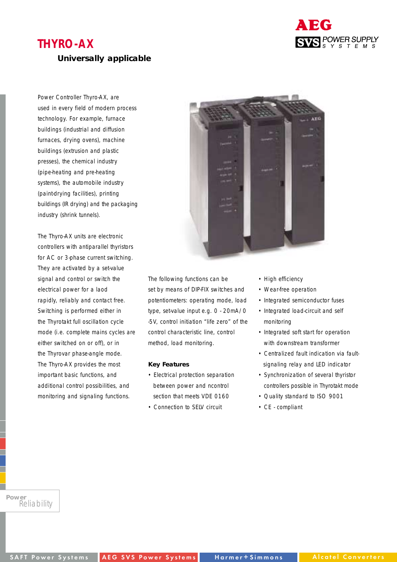# **THYRO-AX**

### **Universally applicable**

Power Controller Thyro-AX, are used in every field of modern process technology. For example, furnace buildings (industrial and diffusion furnaces, drying ovens), machine buildings (extrusion and plastic presses), the chemical industry (pipe-heating and pre-heating systems), the automobile industry (paint-drying facilities), printing buildings (IR drying) and the packaging industry (shrink tunnels).

The Thyro-AX units are electronic controllers with antiparallel thyristors for AC or 3-phase current switching. They are activated by a set-value signal and control or switch the electrical power for a laod rapidly, reliably and contact free. Switching is performed either in the Thyrotakt full oscillation cycle mode (i.e. complete mains cycles are either switched on or off), or in the Thyrovar phase-angle mode. The Thyro-AX provides the most important basic functions, and additional control possibilities, and monitoring and signaling functions.



The following functions can be set by means of DIP-FIX switches and potentiometers: operating mode, load type, set-value input e.g. 0 - 20mA/0 -5V, control initiation "life zero" of the control characteristic line, control method, load monitoring.

#### **Key Features**

- Electrical protection separation between power and ncontrol section that meets VDE 0160
- Connection to SELV circuit
- High efficiency
- Wear-free operation
- Integrated semiconductor fuses

ABG

**SVS** POWER SUPPLY

- Integrated load-circuit and self monitoring
- Integrated soft start for operation with downstream transformer
- Centralized fault indication via faultsignaling relay and LED indicator
- Synchronization of several thyristor controllers possible in Thyrotakt mode
- Quality standard to ISO 9001
- CE compliant

*Power Reliability*